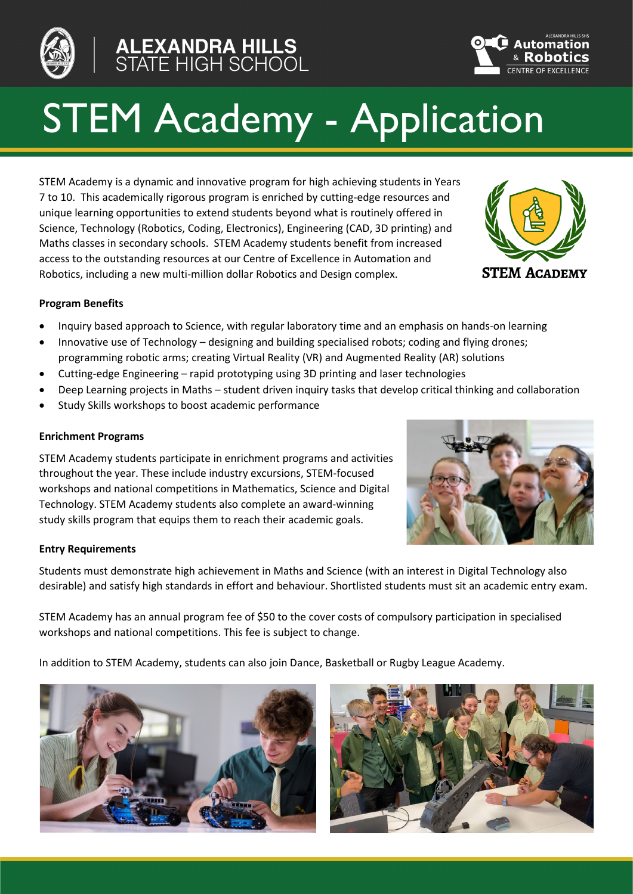



# STEM Academy - Application

STEM Academy is a dynamic and innovative program for high achieving students in Years 7 to 10. This academically rigorous program is enriched by cutting-edge resources and unique learning opportunities to extend students beyond what is routinely offered in Science, Technology (Robotics, Coding, Electronics), Engineering (CAD, 3D printing) and Maths classes in secondary schools. STEM Academy students benefit from increased access to the outstanding resources at our Centre of Excellence in Automation and Robotics, including a new multi-million dollar Robotics and Design complex.



## **Program Benefits**

- Inquiry based approach to Science, with regular laboratory time and an emphasis on hands-on learning
- Innovative use of Technology designing and building specialised robots; coding and flying drones; programming robotic arms; creating Virtual Reality (VR) and Augmented Reality (AR) solutions
- Cutting-edge Engineering rapid prototyping using 3D printing and laser technologies
- Deep Learning projects in Maths student driven inquiry tasks that develop critical thinking and collaboration
- Study Skills workshops to boost academic performance

### **Enrichment Programs**

STEM Academy students participate in enrichment programs and activities throughout the year. These include industry excursions, STEM-focused workshops and national competitions in Mathematics, Science and Digital Technology. STEM Academy students also complete an award-winning study skills program that equips them to reach their academic goals.



Students must demonstrate high achievement in Maths and Science (with an interest in Digital Technology also desirable) and satisfy high standards in effort and behaviour. Shortlisted students must sit an academic entry exam.

STEM Academy has an annual program fee of \$50 to the cover costs of compulsory participation in specialised workshops and national competitions. This fee is subject to change.

In addition to STEM Academy, students can also join Dance, Basketball or Rugby League Academy.





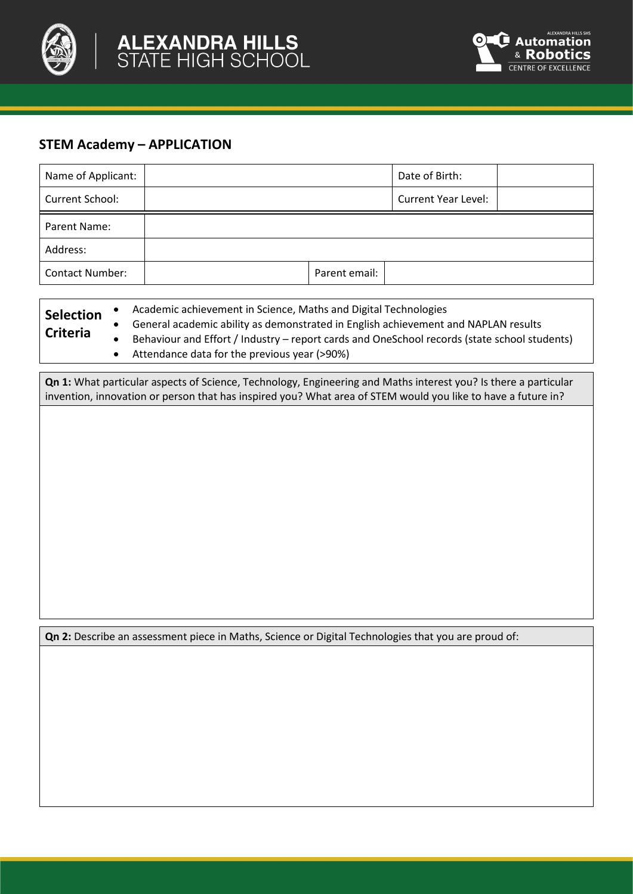



## **STEM Academy – APPLICATION**

| Name of Applicant:     |               | Date of Birth:             |  |
|------------------------|---------------|----------------------------|--|
| Current School:        |               | <b>Current Year Level:</b> |  |
| Parent Name:           |               |                            |  |
| Address:               |               |                            |  |
| <b>Contact Number:</b> | Parent email: |                            |  |

| <b>Selection</b> | Academic achievement in Science, Maths and Digital Technologies                              |  |  |
|------------------|----------------------------------------------------------------------------------------------|--|--|
| <b>Criteria</b>  | General academic ability as demonstrated in English achievement and NAPLAN results           |  |  |
|                  | Behaviour and Effort / Industry – report cards and OneSchool records (state school students) |  |  |
|                  | Attendance data for the previous year (>90%)                                                 |  |  |

**Qn 1:** What particular aspects of Science, Technology, Engineering and Maths interest you? Is there a particular invention, innovation or person that has inspired you? What area of STEM would you like to have a future in?

**Qn 2:** Describe an assessment piece in Maths, Science or Digital Technologies that you are proud of: